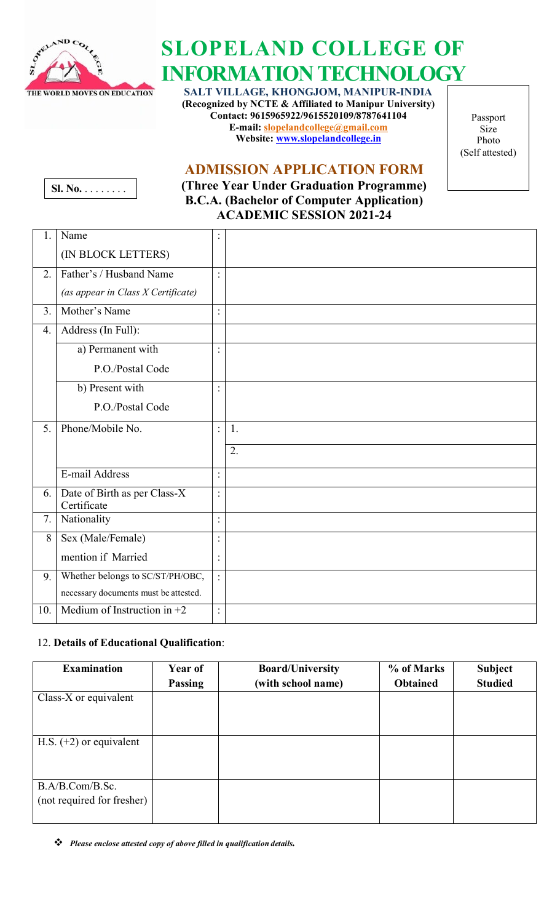

# **SLOPELAND COLLEGE OF INFORMATION TECHNOLOGY**

**SALT VILLAGE, KHONGJOM, MANIPUR-INDIA (Recognized by NCTE & Affiliated to Manipur University) Contact: 9615965922/9615520109/8787641104 E-mail: [slopelandcollege@gmail.com](mailto:slopelandcollege@gmail.com) Website: [www.slopelandcollege.in](http://www.slopelandcollege.in/)**

Passport Size Photo (Self attested)

## **ADMISSION APPLICATION FORM**



**(Three Year Under Graduation Programme) B.C.A. (Bachelor of Computer Application) ACADEMIC SESSION 2021-24**

| 1.  | Name                                        |                |    |
|-----|---------------------------------------------|----------------|----|
|     | (IN BLOCK LETTERS)                          |                |    |
| 2.  | Father's / Husband Name                     | $\ddot{\cdot}$ |    |
|     | (as appear in Class X Certificate)          |                |    |
| 3.  | Mother's Name                               |                |    |
| 4.  | Address (In Full):                          |                |    |
|     | a) Permanent with                           | $\ddot{\cdot}$ |    |
|     | P.O./Postal Code                            |                |    |
|     | b) Present with                             |                |    |
|     | P.O./Postal Code                            |                |    |
| 5.  | Phone/Mobile No.                            | $\vdots$       | 1. |
|     |                                             |                | 2. |
|     | E-mail Address                              | $\ddot{\cdot}$ |    |
| 6.  | Date of Birth as per Class-X<br>Certificate | $\ddot{\cdot}$ |    |
| 7.  | Nationality                                 |                |    |
| 8   | Sex (Male/Female)                           |                |    |
|     | mention if Married                          | :              |    |
| 9.  | Whether belongs to SC/ST/PH/OBC,            | $\ddot{\cdot}$ |    |
|     | necessary documents must be attested.       |                |    |
| 10. | Medium of Instruction in $+2$               |                |    |

### 12. **Details of Educational Qualification**:

| <b>Examination</b>                            | Year of | <b>Board/University</b> | % of Marks      | <b>Subject</b> |
|-----------------------------------------------|---------|-------------------------|-----------------|----------------|
|                                               | Passing | (with school name)      | <b>Obtained</b> | <b>Studied</b> |
| Class-X or equivalent                         |         |                         |                 |                |
| H.S. $(+2)$ or equivalent                     |         |                         |                 |                |
| B.A/B.Com/B.Sc.<br>(not required for fresher) |         |                         |                 |                |

*Please enclose attested copy of above filled in qualification details.*